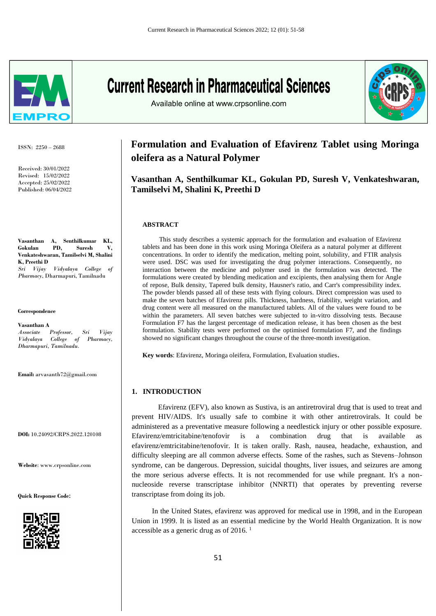

ISSN: 2250 – 2688

Received: 30/01/2022 Revised: 15/02/2022 Accepted: 25/02/2022 Published: 06/04/2022

**Vasanthan A, Senthilkumar KL, Gokulan PD, Suresh V, Venkateshwaran, Tamilselvi M, Shalini K, Preethi D** *Sri Vijay Vidyalaya College of Pharmacy*, Dharmapuri, Tamilnadu

**Correspondence**

**Vasanthan A** 

*Associate Professor, Sri Vijay Vidyalaya College of Pharmacy, Dharmapuri, Tamilnadu.*

**Email:** arvasanth72@gmail.com

**DOI:** 10.24092/CRPS.2022.120108

**Website**: www.crpsonline.com

**Quick Response Code:**



**Current Research in Pharmaceutical Sciences** 



Available online at www.crpsonline.com

# **Formulation and Evaluation of Efavirenz Tablet using Moringa oleifera as a Natural Polymer**

**Vasanthan A, Senthilkumar KL, Gokulan PD, Suresh V, Venkateshwaran, Tamilselvi M, Shalini K, Preethi D**

#### **ABSTRACT**

 This study describes a systemic approach for the formulation and evaluation of Efavirenz tablets and has been done in this work using Moringa Oleifera as a natural polymer at different concentrations. In order to identify the medication, melting point, solubility, and FTIR analysis were used. DSC was used for investigating the drug polymer interactions. Consequently, no interaction between the medicine and polymer used in the formulation was detected. The formulations were created by blending medication and excipients, then analysing them for Angle of repose, Bulk density, Tapered bulk density, Hausner's ratio, and Carr's compressibility index. The powder blends passed all of these tests with flying colours. Direct compression was used to make the seven batches of Efavirenz pills. Thickness, hardness, friability, weight variation, and drug content were all measured on the manufactured tablets. All of the values were found to be within the parameters. All seven batches were subjected to in-vitro dissolving tests. Because Formulation F7 has the largest percentage of medication release, it has been chosen as the best formulation. Stability tests were performed on the optimised formulation F7, and the findings showed no significant changes throughout the course of the three-month investigation.

**Key words**: Efavirenz, Moringa oleifera, Formulation, Evaluation studies.

### **1. INTRODUCTION**

Efavirenz (EFV), also known as Sustiva, is an antiretroviral drug that is used to treat and prevent HIV/AIDS. It's usually safe to combine it with other antiretrovirals. It could be administered as a preventative measure following a needlestick injury or other possible exposure. Efavirenz/emtricitabine/tenofovir is a combination drug that is available as efavirenz/emtricitabine/tenofovir. It is taken orally. Rash, nausea, headache, exhaustion, and difficulty sleeping are all common adverse effects. Some of the rashes, such as Stevens–Johnson syndrome, can be dangerous. Depression, suicidal thoughts, liver issues, and seizures are among the more serious adverse effects. It is not recommended for use while pregnant. It's a nonnucleoside reverse transcriptase inhibitor (NNRTI) that operates by preventing reverse transcriptase from doing its job.

 In the United States, efavirenz was approved for medical use in 1998, and in the European Union in 1999. It is listed as an essential medicine by the World Health Organization. It is now accessible as a generic drug as of 2016. 1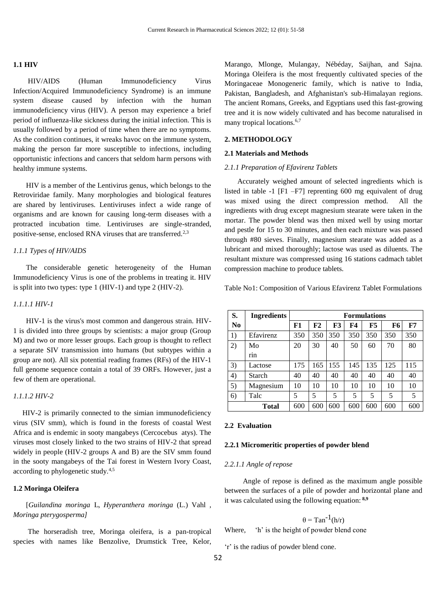#### **1.1 HIV**

 HIV/AIDS (Human Immunodeficiency Virus Infection/Acquired Immunodeficiency Syndrome) is an immune system disease caused by infection with the human immunodeficiency virus (HIV). A person may experience a brief period of influenza-like sickness during the initial infection. This is usually followed by a period of time when there are no symptoms. As the condition continues, it wreaks havoc on the immune system, making the person far more susceptible to infections, including opportunistic infections and cancers that seldom harm persons with healthy immune systems.

 HIV is a member of the Lentivirus genus, which belongs to the Retroviridae family. Many morphologies and biological features are shared by lentiviruses. Lentiviruses infect a wide range of organisms and are known for causing long-term diseases with a protracted incubation time. Lentiviruses are single-stranded, positive-sense, enclosed RNA viruses that are transferred.<sup>2,3</sup>

#### *1.1.1 Types of HIV/AIDS*

 The considerable genetic heterogeneity of the Human Immunodeficiency Virus is one of the problems in treating it. HIV is split into two types: type 1 (HIV-1) and type 2 (HIV-2).

#### *1.1.1.1 HIV-1*

 HIV-1 is the virus's most common and dangerous strain. HIV-1 is divided into three groups by scientists: a major group (Group M) and two or more lesser groups. Each group is thought to reflect a separate SIV transmission into humans (but subtypes within a group are not). All six potential reading frames (RFs) of the HIV-1 full genome sequence contain a total of 39 ORFs. However, just a few of them are operational.

#### *1.1.1.2 HIV-2*

 HIV-2 is primarily connected to the simian immunodeficiency virus (SIV smm), which is found in the forests of coastal West Africa and is endemic in sooty mangabeys (Cercocebus atys). The viruses most closely linked to the two strains of HIV-2 that spread widely in people (HIV-2 groups A and B) are the SIV smm found in the sooty mangabeys of the Tai forest in Western Ivory Coast, according to phylogenetic study.4,5

#### **1.2 Moringa Oleifera**

 [*Guilandina moringa* L, *Hyperanthera moringa* (L.) Vahl , *Moringa pterygosperma]*

 The horseradish tree, Moringa oleifera, is a pan-tropical species with names like Benzolive, Drumstick Tree, Kelor,

Marango, Mlonge, Mulangay, Nébéday, Saijhan, and Sajna. Moringa Oleifera is the most frequently cultivated species of the Moringaceae Monogeneric family, which is native to India, Pakistan, Bangladesh, and Afghanistan's sub-Himalayan regions. The ancient Romans, Greeks, and Egyptians used this fast-growing tree and it is now widely cultivated and has become naturalised in many tropical locations.<sup>6,7</sup>

#### **2. METHODOLOGY**

#### **2.1 Materials and Methods**

#### *2.1.1 Preparation of Efavirenz Tablets*

 Accurately weighed amount of selected ingredients which is listed in table -1 [F1 –F7] reprenting 600 mg equivalent of drug was mixed using the direct compression method. All the ingredients with drug except magnesium stearate were taken in the mortar. The powder blend was then mixed well by using mortar and pestle for 15 to 30 minutes, and then each mixture was passed through #80 sieves. Finally, magnesium stearate was added as a lubricant and mixed thoroughly; lactose was used as diluents. The resultant mixture was compressed using 16 stations cadmach tablet compression machine to produce tablets.

Table No1: Composition of Various Efavirenz Tablet Formulations

| S.             | <b>Ingredients</b> | <b>Formulations</b> |     |     |     |     |     |            |
|----------------|--------------------|---------------------|-----|-----|-----|-----|-----|------------|
| N <sub>0</sub> |                    | F1                  | F2  | F3  | F4  | F5  | F6  | ${\bf F7}$ |
| 1)             | Efavirenz          | 350                 | 350 | 350 | 350 | 350 | 350 | 350        |
| 2)             | Mo                 | 20                  | 30  | 40  | 50  | 60  | 70  | 80         |
|                | rin                |                     |     |     |     |     |     |            |
| 3)             | Lactose            | 175                 | 165 | 155 | 145 | 135 | 125 | 115        |
| 4)             | Starch             | 40                  | 40  | 40  | 40  | 40  | 40  | 40         |
| 5)             | Magnesium          | 10                  | 10  | 10  | 10  | 10  | 10  | 10         |
| 6)             | Talc               | 5                   | 5   | 5   | 5   | 5   | 5   | 5          |
| Total          |                    | 600                 | 600 | 600 | 600 | 600 | 600 | 600        |
|                |                    |                     |     |     |     |     |     |            |

#### **2.2 Evaluation**

#### **2.2.1 Micromeritic properties of powder blend**

#### *2.2.1.1 Angle of repose*

 Angle of repose is defined as the maximum angle possible between the surfaces of a pile of powder and horizontal plane and it was calculated using the following equation: **8,9**

 $\theta = \text{Tan}^{-1}(\mathbf{h}/\mathbf{r})$ 

Where, 'h' is the height of powder blend cone

'r' is the radius of powder blend cone.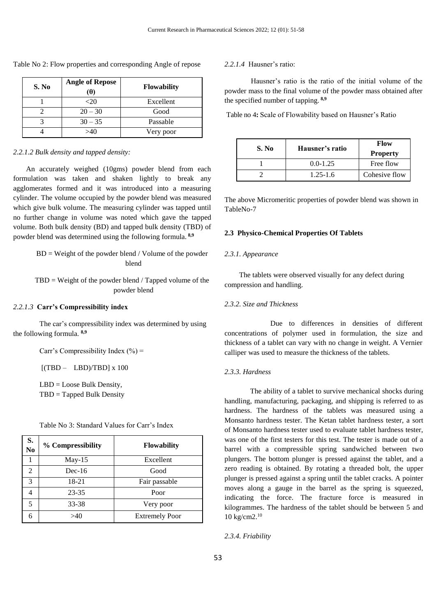| S. No | <b>Angle of Repose</b><br>ΈH | <b>Flowability</b> |  |
|-------|------------------------------|--------------------|--|
|       | <20                          | Excellent          |  |
|       | $20 - 30$                    | Good               |  |
|       | $30 - 35$                    | Passable           |  |
|       | >40                          | Very poor          |  |

Table No 2: Flow properties and corresponding Angle of repose

#### *2.2.1.2 Bulk density and tapped density:*

 An accurately weighed (10gms) powder blend from each formulation was taken and shaken lightly to break any agglomerates formed and it was introduced into a measuring cylinder. The volume occupied by the powder blend was measured which give bulk volume. The measuring cylinder was tapped until no further change in volume was noted which gave the tapped volume. Both bulk density (BD) and tapped bulk density (TBD) of powder blend was determined using the following formula. **8,9**

## $BD = Weight of the powder blend / Volume of the powder$ blend

 $TBD = Weight of the powder blend / Tapped volume of the$ powder blend

#### *2.2.1.3* **Carr's Compressibility index**

The car's compressibility index was determined by using the following formula. **8,9**

Carr's Compressibility Index  $(\% )$  =

 $[(TBD - LBD)/TBD] \times 100$ 

LBD = Loose Bulk Density, TBD = Tapped Bulk Density

| S.<br>N <sub>0</sub>        | % Compressibility | <b>Flowability</b>    |
|-----------------------------|-------------------|-----------------------|
|                             | $May-15$          | Excellent             |
| $\mathcal{D}_{\mathcal{L}}$ | $Dec-16$          | Good                  |
| $\mathcal{R}$               | 18-21             | Fair passable         |
|                             | 23-35             | Poor                  |
|                             | 33-38             | Very poor             |
|                             |                   | <b>Extremely Poor</b> |

### *2.2.1.4* Hausner's ratio:

Hausner's ratio is the ratio of the initial volume of the powder mass to the final volume of the powder mass obtained after the specified number of tapping. **8,9**

Table no 4**:** Scale of Flowability based on Hausner's Ratio

| S. No | Hausner's ratio | Flow<br><b>Property</b> |
|-------|-----------------|-------------------------|
|       | $0.0 - 1.25$    | Free flow               |
|       | $1.25 - 1.6$    | Cohesive flow           |

The above Micromeritic properties of powder blend was shown in TableNo-7

#### **2.3 Physico-Chemical Properties Of Tablets**

#### *2.3.1. Appearance*

 The tablets were observed visually for any defect during compression and handling.

#### *2.3.2. Size and Thickness*

Due to differences in densities of different concentrations of polymer used in formulation, the size and thickness of a tablet can vary with no change in weight. A Vernier calliper was used to measure the thickness of the tablets.

#### *2.3.3. Hardness*

 The ability of a tablet to survive mechanical shocks during handling, manufacturing, packaging, and shipping is referred to as hardness. The hardness of the tablets was measured using a Monsanto hardness tester. The Ketan tablet hardness tester, a sort of Monsanto hardness tester used to evaluate tablet hardness tester, was one of the first testers for this test. The tester is made out of a barrel with a compressible spring sandwiched between two plungers. The bottom plunger is pressed against the tablet, and a zero reading is obtained. By rotating a threaded bolt, the upper plunger is pressed against a spring until the tablet cracks. A pointer moves along a gauge in the barrel as the spring is squeezed, indicating the force. The fracture force is measured in kilogrammes. The hardness of the tablet should be between 5 and 10 kg/cm2.<sup>10</sup>

*2.3.4. Friability*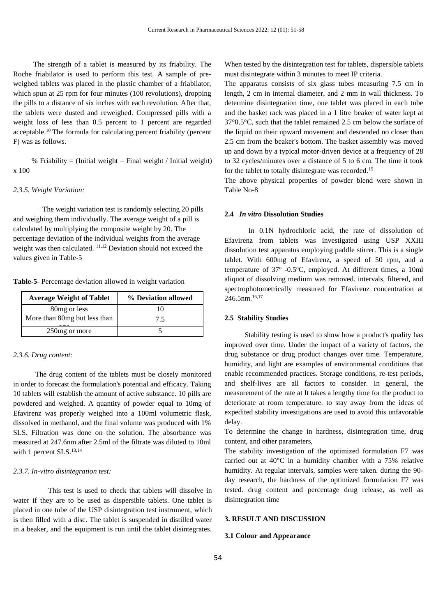The strength of a tablet is measured by its friability. The Roche friabilator is used to perform this test. A sample of preweighed tablets was placed in the plastic chamber of a friabilator, which spun at 25 rpm for four minutes (100 revolutions), dropping the pills to a distance of six inches with each revolution. After that, the tablets were dusted and reweighed. Compressed pills with a weight loss of less than 0.5 percent to 1 percent are regarded acceptable.<sup>10</sup> The formula for calculating percent friability (percent F) was as follows.

% Friability = (Initial weight – Final weight / Initial weight) x 100

#### *2.3.5. Weight Variation:*

 The weight variation test is randomly selecting 20 pills and weighing them individually. The average weight of a pill is calculated by multiplying the composite weight by 20. The percentage deviation of the individual weights from the average weight was then calculated. <sup>11,12</sup> Deviation should not exceed the values given in Table-5

**Table-5**- Percentage deviation allowed in weight variation

| <b>Average Weight of Tablet</b> | % Deviation allowed |  |  |
|---------------------------------|---------------------|--|--|
| 80 <sub>mg</sub> or less        |                     |  |  |
| More than 80mg but less than    | 7.5                 |  |  |
| 250 mg or more                  |                     |  |  |

#### *2.3.6. Drug content:*

 The drug content of the tablets must be closely monitored in order to forecast the formulation's potential and efficacy. Taking 10 tablets will establish the amount of active substance. 10 pills are powdered and weighed. A quantity of powder equal to 10mg of Efavirenz was properly weighed into a 100ml volumetric flask, dissolved in methanol, and the final volume was produced with 1% SLS. Filtration was done on the solution. The absorbance was measured at 247.6nm after 2.5ml of the filtrate was diluted to 10ml with 1 percent SLS.<sup>13,14</sup>

#### *2.3.7. In-vitro disintegration test:*

 This test is used to check that tablets will dissolve in water if they are to be used as dispersible tablets. One tablet is placed in one tube of the USP disintegration test instrument, which is then filled with a disc. The tablet is suspended in distilled water in a beaker, and the equipment is run until the tablet disintegrates.

When tested by the disintegration test for tablets, dispersible tablets must disintegrate within 3 minutes to meet IP criteria.

The apparatus consists of six glass tubes measuring 7.5 cm in length, 2 cm in internal diameter, and 2 mm in wall thickness. To determine disintegration time, one tablet was placed in each tube and the basket rack was placed in a 1 litre beaker of water kept at 37°0.5°C, such that the tablet remained 2.5 cm below the surface of the liquid on their upward movement and descended no closer than 2.5 cm from the beaker's bottom. The basket assembly was moved up and down by a typical motor-driven device at a frequency of 28 to 32 cycles/minutes over a distance of 5 to 6 cm. The time it took for the tablet to totally disintegrate was recorded.<sup>15</sup>

The above physical properties of powder blend were shown in Table No-8

#### **2.4** *In vitro* **Dissolution Studies**

 In 0.1N hydrochloric acid, the rate of dissolution of Efavirenz from tablets was investigated using USP XXIII dissolution test apparatus employing paddle stirrer. This is a single tablet. With 600mg of Efavirenz, a speed of 50 rpm, and a temperature of 37° -0.5°C, employed. At different times, a 10ml aliquot of dissolving medium was removed. intervals, filtered, and spectrophotometrically measured for Efavirenz concentration at 246.5nm.16,17

#### **2.5 Stability Studies**

 Stability testing is used to show how a product's quality has improved over time. Under the impact of a variety of factors, the drug substance or drug product changes over time. Temperature, humidity, and light are examples of environmental conditions that enable recommended practices. Storage conditions, re-test periods, and shelf-lives are all factors to consider. In general, the measurement of the rate at It takes a lengthy time for the product to deteriorate at room temperature. to stay away from the ideas of expedited stability investigations are used to avoid this unfavorable delay.

To determine the change in hardness, disintegration time, drug content, and other parameters,

The stability investigation of the optimized formulation F7 was carried out at 40°C in a humidity chamber with a 75% relative humidity. At regular intervals, samples were taken. during the 90 day research, the hardness of the optimized formulation F7 was tested. drug content and percentage drug release, as well as disintegration time

### **3. RESULT AND DISCUSSION**

#### **3.1 Colour and Appearance**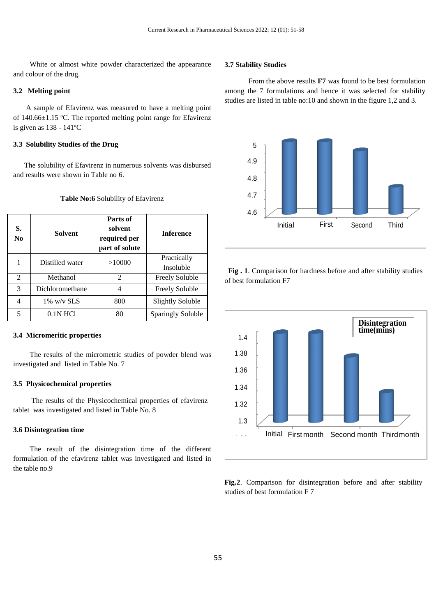White or almost white powder characterized the appearance and colour of the drug.

#### **3.2 Melting point**

 A sample of Efavirenz was measured to have a melting point of 140.66±1.15 ºC. The reported melting point range for Efavirenz is given as 138 - 141ºC

### **3.3 Solubility Studies of the Drug**

 The solubility of Efavirenz in numerous solvents was disbursed and results were shown in Table no 6.

| S.<br>No.      | <b>Solvent</b>  | Parts of<br>solvent<br>required per<br>part of solute | <b>Inference</b>         |
|----------------|-----------------|-------------------------------------------------------|--------------------------|
|                | Distilled water | >10000                                                | Practically<br>Insoluble |
| $\mathfrak{D}$ | Methanol        | $\mathfrak{D}$                                        | <b>Freely Soluble</b>    |
| 3              | Dichloromethane | 4                                                     | <b>Freely Soluble</b>    |
| 4              | $1\%$ w/v SLS   | 800                                                   | <b>Slightly Soluble</b>  |
| 5              | $0.1N$ HCl      | 80                                                    | Sparingly Soluble        |

#### **Table No:6** Solubility of Efavirenz

#### **3.4 Micromeritic properties**

 The results of the micrometric studies of powder blend was investigated and listed in Table No. 7

#### **3.5 Physicochemical properties**

 The results of the Physicochemical properties of efavirenz tablet was investigated and listed in Table No. 8

#### **3.6 Disintegration time**

The result of the disintegration time of the different formulation of the efavirenz tablet was investigated and listed in the table no.9

#### **3.7 Stability Studies**

 From the above results **F7** was found to be best formulation among the 7 formulations and hence it was selected for stability studies are listed in table no:10 and shown in the figure 1,2 and 3.



 **Fig . 1**. Comparison for hardness before and after stability studies of best formulation F7



**Fig.2**. Comparison for disintegration before and after stability studies of best formulation F 7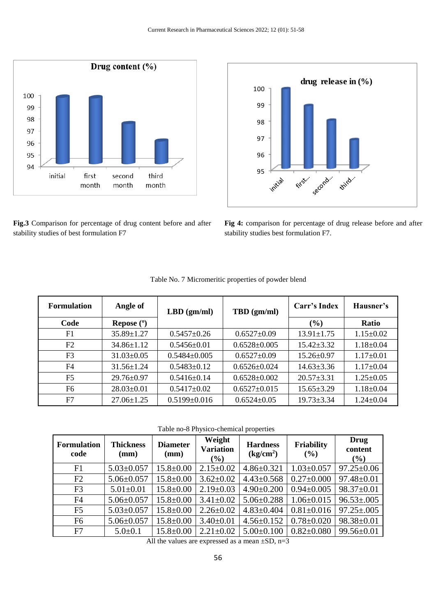



**Fig.3** Comparison for percentage of drug content before and after stability studies of best formulation F7

**Fig 4:** comparison for percentage of drug release before and after stability studies best formulation F7.

| <b>Formulation</b> | Angle of         | $LBD$ (gm/ml)      | TBD (gm/ml)        | Carr's Index     | Hausner's       |
|--------------------|------------------|--------------------|--------------------|------------------|-----------------|
| Code               | Repose $(°)$     |                    |                    | $(\%)$           | <b>Ratio</b>    |
| F1                 | $35.89 \pm 1.27$ | $0.5457 \pm 0.26$  | $0.6527 \pm 0.09$  | $13.91 \pm 1.75$ | $1.15 \pm 0.02$ |
| F2                 | $34.86 \pm 1.12$ | $0.5456 \pm 0.01$  | $0.6528 \pm 0.005$ | $15.42 \pm 3.32$ | $1.18 \pm 0.04$ |
| F <sub>3</sub>     | $31.03 \pm 0.05$ | $0.5484 \pm 0.005$ | $0.6527 \pm 0.09$  | $15.26 \pm 0.97$ | $1.17 \pm 0.01$ |
| F4                 | $31.56 \pm 1.24$ | $0.5483 \pm 0.12$  | $0.6526 \pm 0.024$ | $14.63 \pm 3.36$ | $1.17 \pm 0.04$ |
| F <sub>5</sub>     | $29.76 \pm 0.97$ | $0.5416 \pm 0.14$  | $0.6528 \pm 0.002$ | $20.57 \pm 3.31$ | $1.25 \pm 0.05$ |
| F <sub>6</sub>     | $28.03 \pm 0.01$ | $0.5417 \pm 0.02$  | $0.6527 \pm 0.015$ | $15.65 \pm 3.29$ | $1.18 \pm 0.04$ |
| F7                 | $27.06 \pm 1.25$ | $0.5199 \pm 0.016$ | $0.6524 \pm 0.05$  | $19.73 \pm 3.34$ | $1.24 \pm 0.04$ |

Table no-8 Physico-chemical properties

| <b>Formulation</b><br>code | <b>Thickness</b><br>(mm) | <b>Diameter</b><br>(mm) | Weight<br><b>Variation</b><br>(%) | <b>Hardness</b><br>$\frac{\text{kg/cm}^2}{\text{m}^2}$ | Friability<br>(%) | Drug<br>content<br>$\left(\frac{0}{0}\right)$ |
|----------------------------|--------------------------|-------------------------|-----------------------------------|--------------------------------------------------------|-------------------|-----------------------------------------------|
| F1                         | $5.03 \pm 0.057$         | $15.8 \pm 0.00$         | $2.15 \pm 0.02$                   | $4.86 \pm 0.321$                                       | $1.03 \pm 0.057$  | $97.25 \pm 0.06$                              |
| F2                         | $5.06 \pm 0.057$         | $15.8 \pm 0.00$         | $3.62 \pm 0.02$                   | $4.43 \pm 0.568$                                       | $0.27 \pm 0.000$  | $97.48 \pm 0.01$                              |
| F <sub>3</sub>             | $5.01 \pm 0.01$          | $15.8 \pm 0.00$         | $2.19 \pm 0.03$                   | $4.90 \pm 0.200$                                       | $0.94 \pm 0.005$  | $98.37 \pm 0.01$                              |
| F <sub>4</sub>             | $5.06 \pm 0.057$         | $15.8 \pm 0.00$         | $3.41 \pm 0.02$                   | $5.06 \pm 0.288$                                       | $1.06 \pm 0.015$  | $96.53 \pm 0.005$                             |
| F <sub>5</sub>             | $5.03 \pm 0.057$         | $15.8 \pm 0.00$         | $2.26 \pm 0.02$                   | $4.83 \pm 0.404$                                       | $0.81 \pm 0.016$  | $97.25 \pm 0.005$                             |
| F <sub>6</sub>             | $5.06 \pm 0.057$         | $15.8 \pm 0.00$         | $3.40 \pm 0.01$                   | $4.56 \pm 0.152$                                       | $0.78 \pm 0.020$  | 98.38±0.01                                    |
| F7                         | $5.0 \pm 0.1$            | $15.8 \pm 0.00$         | $2.21 \pm 0.02$                   | $5.00 \pm 0.100$                                       | $0.82 \pm 0.080$  | $99.56 \pm 0.01$                              |

All the values are expressed as a mean  $\pm SD$ , n=3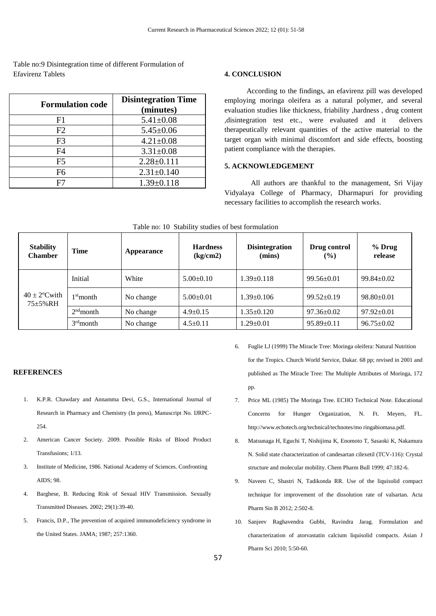Table no:9 Disintegration time of different Formulation of Efavirenz Tablets **4. CONCLUSION** 

| <b>Formulation code</b> | <b>Disintegration Time</b><br>(minutes) |
|-------------------------|-----------------------------------------|
| F1                      | $5.41 \pm 0.08$                         |
| F2                      | $5.45 \pm 0.06$                         |
| F <sub>3</sub>          | $4.21 \pm 0.08$                         |
| F4                      | $3.31 \pm 0.08$                         |
| F <sub>5</sub>          | $2.28 \pm 0.111$                        |
| F6                      | $2.31 \pm 0.140$                        |
|                         | $1.39 \pm 0.118$                        |

 According to the findings, an efavirenz pill was developed employing moringa oleifera as a natural polymer, and several evaluation studies like thickness, friability ,hardness , drug content ,disintegration test etc., were evaluated and it delivers therapeutically relevant quantities of the active material to the target organ with minimal discomfort and side effects, boosting patient compliance with the therapies.

# **5. ACKNOWLEDGEMENT**

All authors are thankful to the management, Sri Vijay Vidyalaya College of Pharmacy, Dharmapuri for providing necessary facilities to accomplish the research works.

| <b>Stability</b><br><b>Chamber</b>        | <b>Time</b> | Appearance | <b>Hardness</b><br>(kg/cm2) | <b>Disintegration</b><br>(mins) | Drug control<br>$($ %) | % Drug<br>release |
|-------------------------------------------|-------------|------------|-----------------------------|---------------------------------|------------------------|-------------------|
| $40 \pm 2^{\circ}$ Cwith<br>$75 + 5\% RH$ | Initial     | White      | $5.00 \pm 0.10$             | $.39 \pm 0.118$                 | $99.56 \pm 0.01$       | $99.84 \pm 0.02$  |
|                                           | $1st$ month | No change  | $5.00+0.01$                 | $1.39 \pm 0.106$                | $99.52 \pm 0.19$       | $98.80 \pm 0.01$  |
|                                           | $2nd$ month | No change  | $4.9 \pm 0.15$              | $1.35 \pm 0.120$                | $97.36 \pm 0.02$       | $97.92 \pm 0.01$  |
|                                           | $3rd$ month | No change  | $4.5 \pm 0.11$              | $1.29 \pm 0.01$                 | $95.89 \pm 0.11$       | $96.75 \pm 0.02$  |

| Table no: 10 Stability studies of best formulation |  |  |  |  |
|----------------------------------------------------|--|--|--|--|
|----------------------------------------------------|--|--|--|--|

# **REFERENCES**

- 1. K.P.R. Chawdary and Annamma Devi, G.S., International Journal of Research in Pharmacy and Chemistry (In press), Manuscript No. IJRPC-254.
- 2. American Cancer Society. 2009. Possible Risks of Blood Product Transfusions; 1/13.
- 3. Institute of Medicine, 1986. National Academy of Sciences. Confronting AIDS; 98.
- 4. Barghese, B. Reducing Risk of Sexual HIV Transmission. Sexually Transmitted Diseases. 2002; 29(1):39-40.
- 5. Francis, D.P., The prevention of acquired immunodeficiency syndrome in the United States. JAMA; 1987; 257:1360.
- 6. Fuglie LJ (1999) The Miracle Tree: Moringa oleifera: Natural Nutrition for the Tropics. Church World Service, Dakar. 68 pp; revised in 2001 and published as The Miracle Tree: The Multiple Attributes of Moringa, 172 pp.
- 7. Price ML (1985) The Moringa Tree. ECHO Technical Note. Educational Concerns for Hunger Organization, N. Ft. Meyers, FL. http://www.echotech.org/technical/technotes/mo ringabiomasa.pdf.
- 8. Matsunaga H, Eguchi T, Nishijima K, Enomoto T, Sasaoki K, Nakamura N. Solid state characterization of candesartan cilexetil (TCV-116): Crystal structure and molecular mobility. Chem Pharm Bull 1999; 47:182-6.
- 9. Naveen C, Shastri N, Tadikonda RR. Use of the liquisolid compact technique for improvement of the dissolution rate of valsartan. Acta Pharm Sin B 2012; 2:502-8.
- 10. Sanjeev Raghavendra Gubbi, Ravindra Jarag. Formulation and characterization of atorvastatin calcium liquisolid compacts. Asian J Pharm Sci 2010; 5:50-60.